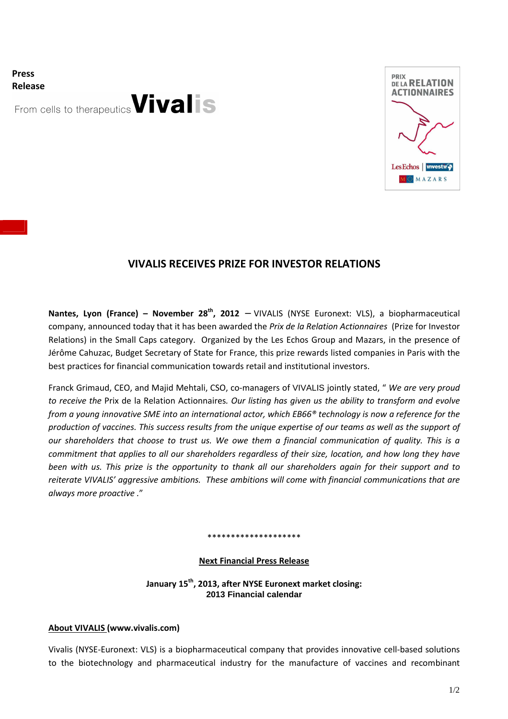**Press Release**

From cells to therapeutics Vivalis



# **VIVALIS RECEIVES PRIZE FOR INVESTOR RELATIONS**

**Nantes, Lyon (France) – November 28th, 2012** − VIVALIS (NYSE Euronext: VLS), a biopharmaceutical company, announced today that it has been awarded the *Prix de la Relation Actionnaires* (Prize for Investor Relations) in the Small Caps category. Organized by the Les Echos Group and Mazars, in the presence of Jérôme Cahuzac, Budget Secretary of State for France, this prize rewards listed companies in Paris with the best practices for financial communication towards retail and institutional investors.

Franck Grimaud, CEO, and Majid Mehtali, CSO, co-managers of VIVALIS jointly stated, " *We are very proud to receive the* Prix de la Relation Actionnaires*. Our listing has given us the ability to transform and evolve from a young innovative SME into an international actor, which EB66® technology is now a reference for the production of vaccines. This success results from the unique expertise of our teams as well as the support of our shareholders that choose to trust us. We owe them a financial communication of quality. This is a commitment that applies to all our shareholders regardless of their size, location, and how long they have been with us. This prize is the opportunity to thank all our shareholders again for their support and to reiterate VIVALIS' aggressive ambitions. These ambitions will come with financial communications that are always more proactive .*"

#### \*\*\*\*\*\*\*\*\*\*\*\*\*\*\*\*\*\*\*

#### **Next Financial Press Release**

**January 15th, 2013, after NYSE Euronext market closing: 2013 Financial calendar** 

#### **About VIVALIS (www.vivalis.com)**

Vivalis (NYSE-Euronext: VLS) is a biopharmaceutical company that provides innovative cell-based solutions to the biotechnology and pharmaceutical industry for the manufacture of vaccines and recombinant